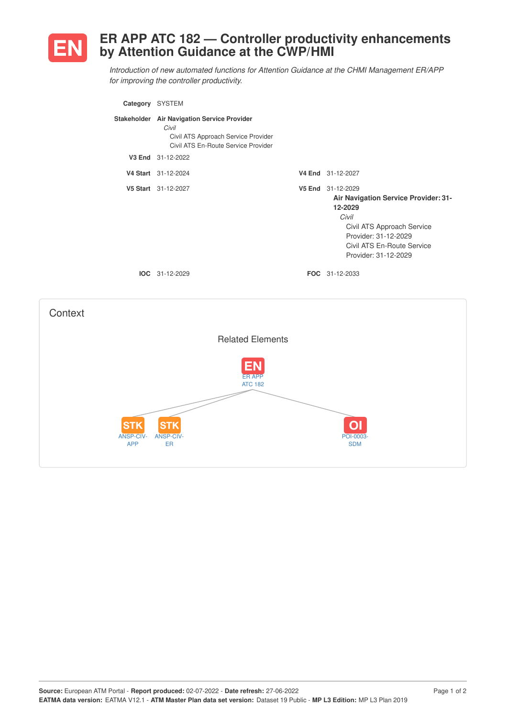

## **ER APP ATC 182 — Controller productivity enhancements by Attention Guidance at the CWP/HMI**

*Introduction of new automated functions for Attention Guidance at the CHMI Management ER/APP for improving the controller productivity.*

| Category SYSTEM |                                                                                                                                    |                                                                                                                                                                                           |
|-----------------|------------------------------------------------------------------------------------------------------------------------------------|-------------------------------------------------------------------------------------------------------------------------------------------------------------------------------------------|
|                 | Stakeholder Air Navigation Service Provider<br>Civil<br>Civil ATS Approach Service Provider<br>Civil ATS En-Route Service Provider |                                                                                                                                                                                           |
|                 | V3 End 31-12-2022                                                                                                                  |                                                                                                                                                                                           |
|                 | V4 Start 31-12-2024                                                                                                                | V4 End 31-12-2027                                                                                                                                                                         |
|                 | V5 Start 31-12-2027                                                                                                                | V5 End 31-12-2029<br>Air Navigation Service Provider: 31-<br>12-2029<br>Civil<br>Civil ATS Approach Service<br>Provider: 31-12-2029<br>Civil ATS En-Route Service<br>Provider: 31-12-2029 |
|                 | <b>IOC</b> 31-12-2029                                                                                                              | <b>FOC</b> 31-12-2033                                                                                                                                                                     |